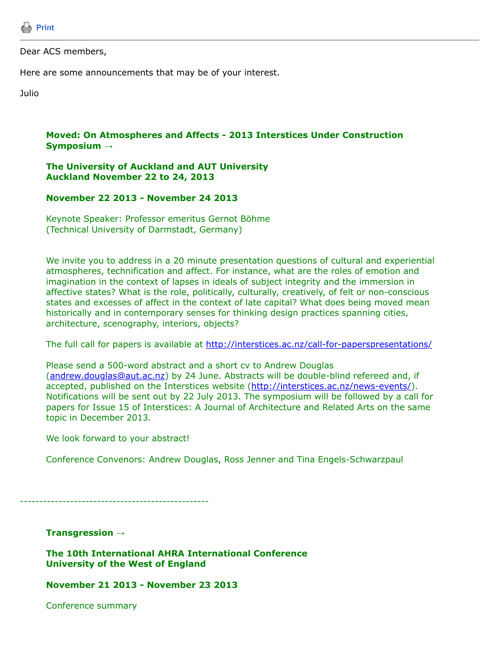

### Dear ACS members,

Here are some announcements that may be of your interest.

Julio

# **Moved: On Atmospheres and Affects - 2013 Interstices Under Construction Symposium →**

## **The University of Auckland and AUT University Auckland November 22 to 24, 2013**

# **November 22 2013 - November 24 2013**

Keynote Speaker: Professor emeritus Gernot Böhme (Technical University of Darmstadt, Germany)

We invite you to address in a 20 minute presentation questions of cultural and experiential atmospheres, technification and affect. For instance, what are the roles of emotion and imagination in the context of lapses in ideals of subject integrity and the immersion in affective states? What is the role, politically, culturally, creatively, of felt or non-conscious states and excesses of affect in the context of late capital? What does being moved mean historically and in contemporary senses for thinking design practices spanning cities, architecture, scenography, interiors, objects?

The full call for papers is available at<http://interstices.ac.nz/call-for-paperspresentations/>

Please send a 500-word abstract and a short cv to Andrew Douglas [\(andrew.douglas@aut.ac.nz\)](https://listserv.tamu.edu/cgi-bin/andrew.douglas@aut.ac.nz) by 24 June. Abstracts will be double-blind refereed and, if accepted, published on the Interstices website ([http://interstices.ac.nz/news-events/\)](http://interstices.ac.nz/news-events/). Notifications will be sent out by 22 July 2013. The symposium will be followed by a call for papers for Issue 15 of Interstices: A Journal of Architecture and Related Arts on the same topic in December 2013.

We look forward to your abstract!

Conference Convenors: Andrew Douglas, Ross Jenner and Tina Engels-Schwarzpaul

-------------------------------------------------

**Transgression →**

**The 10th International AHRA International Conference University of the West of England**

**November 21 2013 - November 23 2013**

Conference summary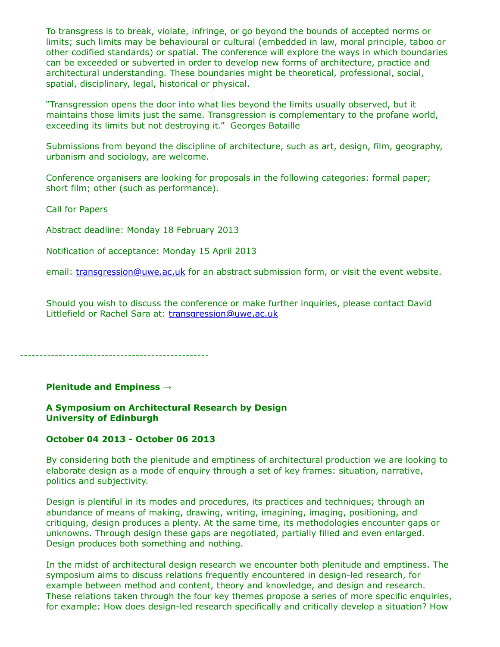To transgress is to break, violate, infringe, or go beyond the bounds of accepted norms or limits; such limits may be behavioural or cultural (embedded in law, moral principle, taboo or other codified standards) or spatial. The conference will explore the ways in which boundaries can be exceeded or subverted in order to develop new forms of architecture, practice and architectural understanding. These boundaries might be theoretical, professional, social, spatial, disciplinary, legal, historical or physical.

"Transgression opens the door into what lies beyond the limits usually observed, but it maintains those limits just the same. Transgression is complementary to the profane world, exceeding its limits but not destroying it." Georges Bataille

Submissions from beyond the discipline of architecture, such as art, design, film, geography, urbanism and sociology, are welcome.

Conference organisers are looking for proposals in the following categories: formal paper; short film; other (such as performance).

Call for Papers

Abstract deadline: Monday 18 February 2013

Notification of acceptance: Monday 15 April 2013

email: [transgression@uwe.ac.uk](https://listserv.tamu.edu/cgi-bin/transgression@uwe.ac.uk) for an abstract submission form, or visit the event website.

Should you wish to discuss the conference or make further inquiries, please contact David Littlefield or Rachel Sara at: [transgression@uwe.ac.uk](https://listserv.tamu.edu/cgi-bin/transgression@uwe.ac.uk)

-------------------------------------------------

#### **Plenitude and Empiness →**

### **A Symposium on Architectural Research by Design University of Edinburgh**

#### **October 04 2013 - October 06 2013**

By considering both the plenitude and emptiness of architectural production we are looking to elaborate design as a mode of enquiry through a set of key frames: situation, narrative, politics and subjectivity.

Design is plentiful in its modes and procedures, its practices and techniques; through an abundance of means of making, drawing, writing, imagining, imaging, positioning, and critiquing, design produces a plenty. At the same time, its methodologies encounter gaps or unknowns. Through design these gaps are negotiated, partially filled and even enlarged. Design produces both something and nothing.

In the midst of architectural design research we encounter both plenitude and emptiness. The symposium aims to discuss relations frequently encountered in design-led research, for example between method and content, theory and knowledge, and design and research. These relations taken through the four key themes propose a series of more specific enquiries, for example: How does design-led research specifically and critically develop a situation? How